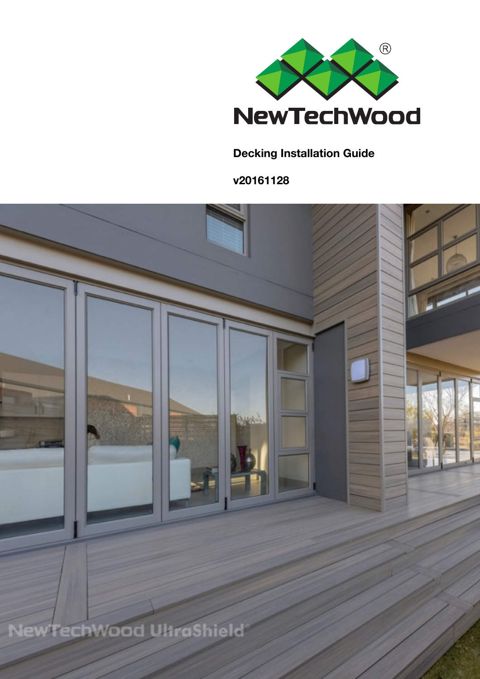

### **Decking Installation Guide**

**v20161128**

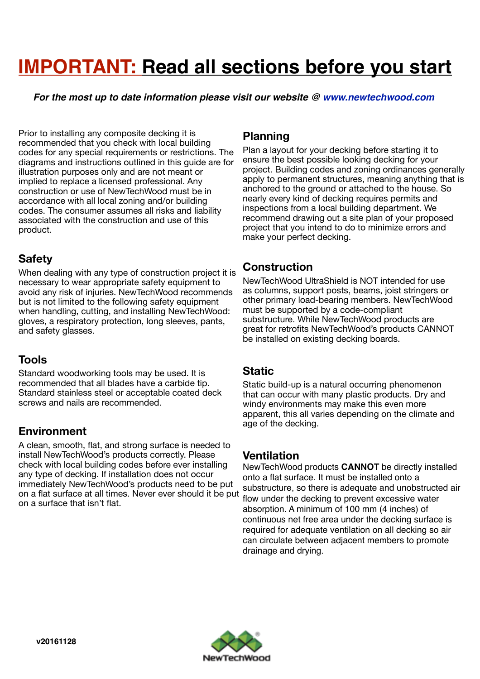# **IMPORTANT: Read all sections before you start**

*For the most up to date information please visit our website @ [www.newtechwood.com](http://www.newtechwood.com)*

Prior to installing any composite decking it is recommended that you check with local building codes for any special requirements or restrictions. The diagrams and instructions outlined in this guide are for illustration purposes only and are not meant or implied to replace a licensed professional. Any construction or use of NewTechWood must be in accordance with all local zoning and/or building codes. The consumer assumes all risks and liability associated with the construction and use of this product.

### **Safety**

When dealing with any type of construction project it is necessary to wear appropriate safety equipment to avoid any risk of injuries. NewTechWood recommends but is not limited to the following safety equipment when handling, cutting, and installing NewTechWood: gloves, a respiratory protection, long sleeves, pants, and safety glasses.

### **Tools**

Standard woodworking tools may be used. It is recommended that all blades have a carbide tip. Standard stainless steel or acceptable coated deck screws and nails are recommended.

### **Environment**

A clean, smooth, flat, and strong surface is needed to install NewTechWood's products correctly. Please check with local building codes before ever installing any type of decking. If installation does not occur immediately NewTechWood's products need to be put on a flat surface at all times. Never ever should it be put on a surface that isn't flat.

### **Planning**

Plan a layout for your decking before starting it to ensure the best possible looking decking for your project. Building codes and zoning ordinances generally apply to permanent structures, meaning anything that is anchored to the ground or attached to the house. So nearly every kind of decking requires permits and inspections from a local building department. We recommend drawing out a site plan of your proposed project that you intend to do to minimize errors and make your perfect decking.

### **Construction**

NewTechWood UltraShield is NOT intended for use as columns, support posts, beams, joist stringers or other primary load-bearing members. NewTechWood must be supported by a code-compliant substructure. While NewTechWood products are great for retrofits NewTechWood's products CANNOT be installed on existing decking boards.

### **Static**

Static build-up is a natural occurring phenomenon that can occur with many plastic products. Dry and windy environments may make this even more apparent, this all varies depending on the climate and age of the decking.

### **Ventilation**

NewTechWood products **CANNOT** be directly installed onto a flat surface. It must be installed onto a substructure, so there is adequate and unobstructed air flow under the decking to prevent excessive water absorption. A minimum of 100 mm (4 inches) of continuous net free area under the decking surface is required for adequate ventilation on all decking so air can circulate between adjacent members to promote drainage and drying.

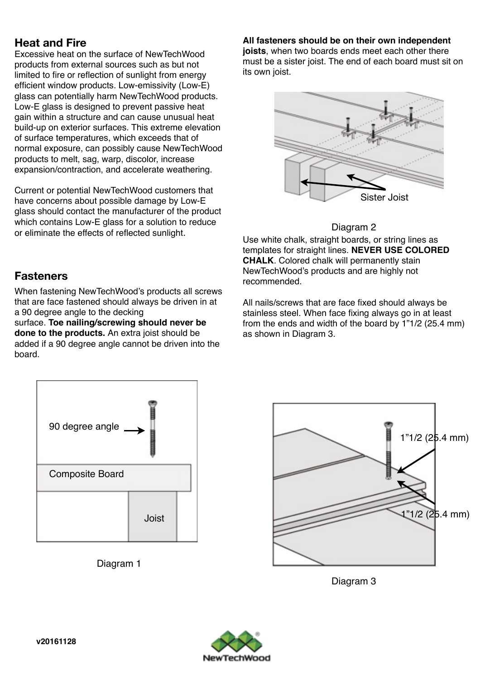### **Heat and Fire**

Excessive heat on the surface of NewTechWood products from external sources such as but not limited to fire or reflection of sunlight from energy efficient window products. Low-emissivity (Low-E) glass can potentially harm NewTechWood products. Low-E glass is designed to prevent passive heat gain within a structure and can cause unusual heat build-up on exterior surfaces. This extreme elevation of surface temperatures, which exceeds that of normal exposure, can possibly cause NewTechWood products to melt, sag, warp, discolor, increase expansion/contraction, and accelerate weathering.

Current or potential NewTechWood customers that have concerns about possible damage by Low-E glass should contact the manufacturer of the product which contains Low-E glass for a solution to reduce or eliminate the effects of reflected sunlight.

### **Fasteners**

When fastening NewTechWood's products all screws that are face fastened should always be driven in at a 90 degree angle to the decking

surface. **Toe nailing/screwing should never be done to the products.** An extra joist should be added if a 90 degree angle cannot be driven into the board.



Diagram 1

**All fasteners should be on their own independent** 

**joists**, when two boards ends meet each other there must be a sister joist. The end of each board must sit on its own joist.



### Diagram 2

Use white chalk, straight boards, or string lines as templates for straight lines. **NEVER USE COLORED CHALK**. Colored chalk will permanently stain NewTechWood's products and are highly not recommended.

All nails/screws that are face fixed should always be stainless steel. When face fixing always go in at least from the ends and width of the board by 1"1/2 (25.4 mm) as shown in Diagram 3.



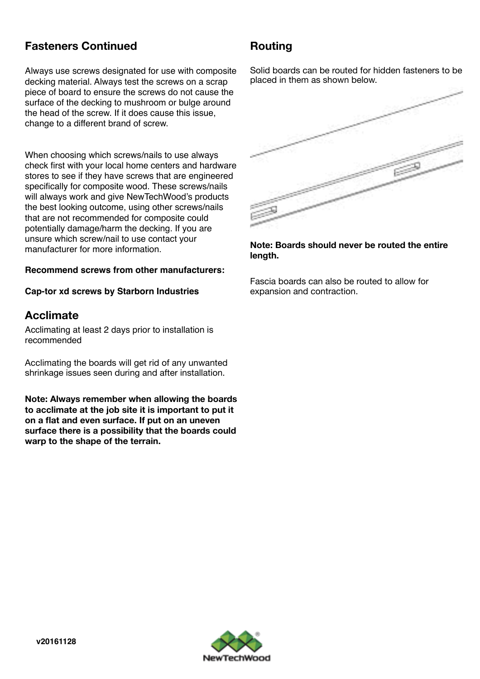### **Fasteners Continued**

Always use screws designated for use with composite decking material. Always test the screws on a scrap piece of board to ensure the screws do not cause the surface of the decking to mushroom or bulge around the head of the screw. If it does cause this issue, change to a different brand of screw.

When choosing which screws/nails to use always check first with your local home centers and hardware stores to see if they have screws that are engineered specifically for composite wood. These screws/nails will always work and give NewTechWood's products the best looking outcome, using other screws/nails that are not recommended for composite could potentially damage/harm the decking. If you are unsure which screw/nail to use contact your manufacturer for more information.

#### **Recommend screws from other manufacturers:**

#### **Cap-tor xd screws by Starborn Industries**

### **Acclimate**

Acclimating at least 2 days prior to installation is recommended

Acclimating the boards will get rid of any unwanted shrinkage issues seen during and after installation.

**Note: Always remember when allowing the boards to acclimate at the job site it is important to put it on a flat and even surface. If put on an uneven surface there is a possibility that the boards could warp to the shape of the terrain.** 

### **Routing**

Solid boards can be routed for hidden fasteners to be placed in them as shown below.



**Note: Boards should never be routed the entire length.** 

Fascia boards can also be routed to allow for expansion and contraction.

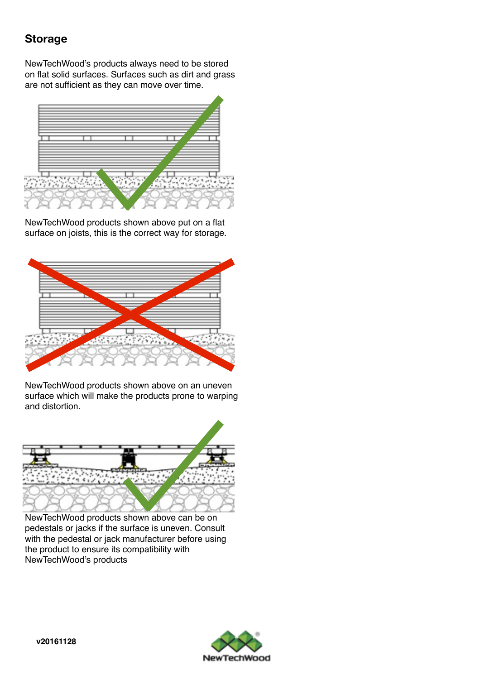### **Storage**

NewTechWood's products always need to be stored on flat solid surfaces. Surfaces such as dirt and grass are not sufficient as they can move over time.



NewTechWood products shown above put on a flat surface on joists, this is the correct way for storage.



NewTechWood products shown above on an uneven surface which will make the products prone to warping and distortion.



NewTechWood products shown above can be on pedestals or jacks if the surface is uneven. Consult with the pedestal or jack manufacturer before using the product to ensure its compatibility with NewTechWood's products

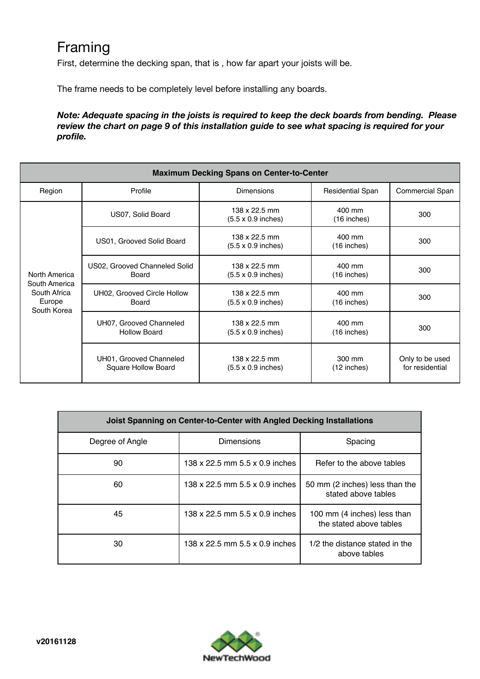## Framing

First, determine the decking span, that is , how far apart your joists will be.

The frame needs to be completely level before installing any boards.

*Note: Adequate spacing in the joists is required to keep the deck boards from bending. Please review the chart on page 9 of this installation guide to see what spacing is required for your profile.* 

| <b>Maximum Decking Spans on Center-to-Center</b>                        |                                                |                                                           |                         |                                    |  |  |  |  |  |  |
|-------------------------------------------------------------------------|------------------------------------------------|-----------------------------------------------------------|-------------------------|------------------------------------|--|--|--|--|--|--|
| Region                                                                  | Profile                                        | <b>Dimensions</b>                                         | <b>Residential Span</b> | <b>Commercial Span</b>             |  |  |  |  |  |  |
|                                                                         | US07, Solid Board                              | 138 x 22.5 mm<br>$(5.5 \times 0.9 \text{ inches})$        | 400 mm<br>$(16$ inches) | 300                                |  |  |  |  |  |  |
| North America<br>South America<br>South Africa<br>Europe<br>South Korea | US01, Grooved Solid Board                      | 138 x 22.5 mm<br>$(5.5 \times 0.9 \text{ inches})$        | 400 mm<br>$(16$ inches) | 300                                |  |  |  |  |  |  |
|                                                                         | US02, Grooved Channeled Solid<br>Board         | $138 \times 22.5$ mm<br>$(5.5 \times 0.9 \text{ inches})$ | 400 mm<br>(16 inches)   | 300                                |  |  |  |  |  |  |
|                                                                         | UH02, Grooved Circle Hollow<br><b>Board</b>    | 138 x 22.5 mm<br>$(5.5 \times 0.9 \text{ inches})$        | 400 mm<br>$(16$ inches) | 300                                |  |  |  |  |  |  |
|                                                                         | UH07, Grooved Channeled<br><b>Hollow Board</b> | 138 x 22.5 mm<br>$(5.5 \times 0.9 \text{ inches})$        | 400 mm<br>$(16$ inches) | 300                                |  |  |  |  |  |  |
|                                                                         | UH01, Grooved Channeled<br>Square Hollow Board | 138 x 22.5 mm<br>$(5.5 \times 0.9 \text{ inches})$        | 300 mm<br>$(12$ inches) | Only to be used<br>for residential |  |  |  |  |  |  |

| Joist Spanning on Center-to-Center with Angled Decking Installations |                                |                                                        |  |  |  |  |  |  |  |
|----------------------------------------------------------------------|--------------------------------|--------------------------------------------------------|--|--|--|--|--|--|--|
| Degree of Angle                                                      | Dimensions                     | Spacing                                                |  |  |  |  |  |  |  |
| 90                                                                   | 138 x 22.5 mm 5.5 x 0.9 inches | Refer to the above tables                              |  |  |  |  |  |  |  |
| 60                                                                   | 138 x 22.5 mm 5.5 x 0.9 inches | 50 mm (2 inches) less than the<br>stated above tables  |  |  |  |  |  |  |  |
| 45                                                                   | 138 x 22.5 mm 5.5 x 0.9 inches | 100 mm (4 inches) less than<br>the stated above tables |  |  |  |  |  |  |  |
| 30                                                                   | 138 x 22.5 mm 5.5 x 0.9 inches | 1/2 the distance stated in the<br>above tables         |  |  |  |  |  |  |  |

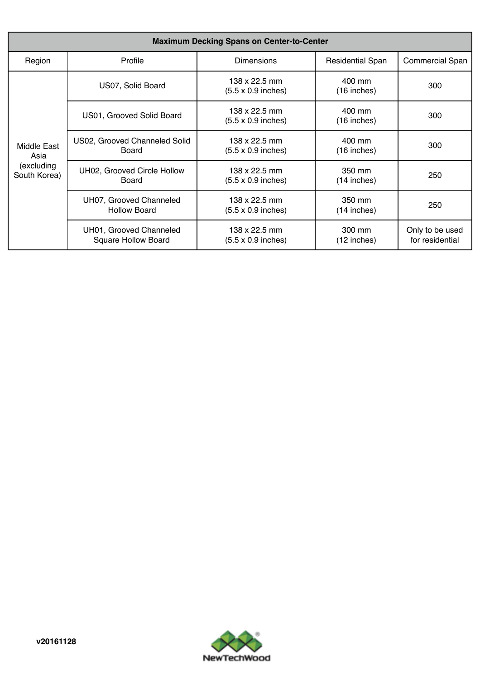| <b>Maximum Decking Spans on Center-to-Center</b>  |                                                       |                                                                               |                         |                                    |  |  |  |  |  |  |
|---------------------------------------------------|-------------------------------------------------------|-------------------------------------------------------------------------------|-------------------------|------------------------------------|--|--|--|--|--|--|
| Region                                            | Profile                                               | <b>Dimensions</b>                                                             | <b>Residential Span</b> | <b>Commercial Span</b>             |  |  |  |  |  |  |
| Middle East<br>Asia<br>(excluding<br>South Korea) | US07, Solid Board                                     | 138 x 22.5 mm<br>400 mm<br>$(5.5 \times 0.9 \text{ inches})$<br>$(16$ inches) |                         | 300                                |  |  |  |  |  |  |
|                                                   | US01, Grooved Solid Board                             | 138 x 22.5 mm<br>$(5.5 \times 0.9 \text{ inches})$                            | 400 mm<br>(16 inches)   | 300                                |  |  |  |  |  |  |
|                                                   | US02, Grooved Channeled Solid<br>Board                | 138 x 22.5 mm<br>$(5.5 \times 0.9 \text{ inches})$                            | 400 mm<br>$(16$ inches) | 300                                |  |  |  |  |  |  |
|                                                   | UH02, Grooved Circle Hollow<br>Board                  | 138 x 22.5 mm<br>$(5.5 \times 0.9 \text{ inches})$                            | 350 mm<br>$(14$ inches) | 250                                |  |  |  |  |  |  |
|                                                   | UH07, Grooved Channeled<br><b>Hollow Board</b>        | 138 x 22.5 mm<br>$(5.5 \times 0.9 \text{ inches})$                            | 350 mm<br>$(14$ inches) | 250                                |  |  |  |  |  |  |
|                                                   | UH01, Grooved Channeled<br><b>Square Hollow Board</b> | 138 x 22.5 mm<br>$(5.5 \times 0.9 \text{ inches})$                            | 300 mm<br>$(12$ inches) | Only to be used<br>for residential |  |  |  |  |  |  |

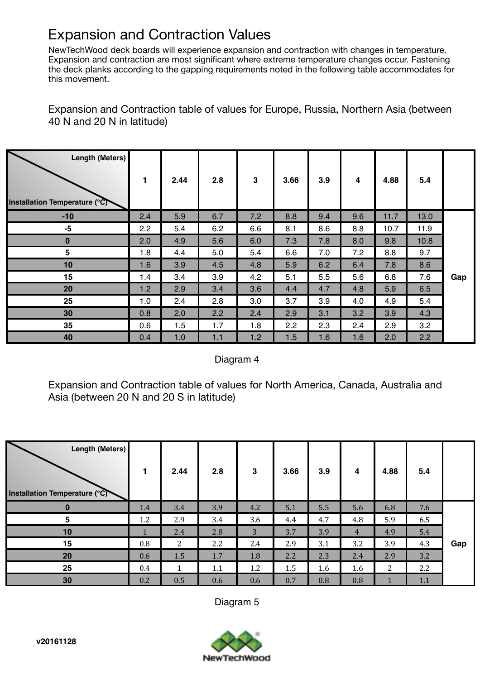## Expansion and Contraction Values

NewTechWood deck boards will experience expansion and contraction with changes in temperature. Expansion and contraction are most significant where extreme temperature changes occur. Fastening the deck planks according to the gapping requirements noted in the following table accommodates for this movement.

Expansion and Contraction table of values for Europe, Russia, Northern Asia (between 40 N and 20 N in latitude)

| <b>Length (Meters)</b><br>Installation Temperature (°C) | 1   | 2.44 | 2.8 | $\mathbf{3}$ | 3.66 | 3.9 | 4   | 4.88 | 5.4  |     |
|---------------------------------------------------------|-----|------|-----|--------------|------|-----|-----|------|------|-----|
| $-10$                                                   | 2.4 | 5.9  | 6.7 | 7.2          | 8.8  | 9.4 | 9.6 | 11.7 | 13.0 |     |
| $-5$                                                    | 2.2 | 5.4  | 6.2 | 6.6          | 8.1  | 8.6 | 8.8 | 10.7 | 11.9 |     |
| $\bf{0}$                                                | 2.0 | 4.9  | 5.6 | 6.0          | 7.3  | 7.8 | 8.0 | 9.8  | 10.8 |     |
| 5                                                       | 1.8 | 4.4  | 5.0 | 5.4          | 6.6  | 7.0 | 7.2 | 8.8  | 9.7  |     |
| 10                                                      | 1.6 | 3.9  | 4.5 | 4.8          | 5.9  | 6.2 | 6.4 | 7.8  | 8.6  |     |
| 15                                                      | 1.4 | 3.4  | 3.9 | 4.2          | 5.1  | 5.5 | 5.6 | 6.8  | 7.6  | Gap |
| 20                                                      | 1.2 | 2.9  | 3.4 | 3.6          | 4.4  | 4.7 | 4.8 | 5.9  | 6.5  |     |
| 25                                                      | 1.0 | 2.4  | 2.8 | 3.0          | 3.7  | 3.9 | 4.0 | 4.9  | 5.4  |     |
| 30                                                      | 0.8 | 2.0  | 2.2 | 2.4          | 2.9  | 3.1 | 3.2 | 3.9  | 4.3  |     |
| 35                                                      | 0.6 | 1.5  | 1.7 | 1.8          | 2.2  | 2.3 | 2.4 | 2.9  | 3.2  |     |
| 40                                                      | 0.4 | 1.0  | 1.1 | 1.2          | 1.5  | 1.6 | 1.6 | 2.0  | 2.2  |     |

### Diagram 4

Expansion and Contraction table of values for North America, Canada, Australia and Asia (between 20 N and 20 S in latitude)

| l<br>Length (Meters)<br>Installation Temperature (°C) |     | 2.44 | 2.8 | 3   | 3.66 | 3.9 | 4              | 4.88 | 5.4 |     |
|-------------------------------------------------------|-----|------|-----|-----|------|-----|----------------|------|-----|-----|
|                                                       | 1.4 | 3.4  | 3.9 | 4.2 | 5.1  | 5.5 | 5.6            | 6.8  | 7.6 |     |
| 5                                                     | 1.2 | 2.9  | 3.4 | 3.6 | 4.4  | 4.7 | 4.8            | 5.9  | 6.5 |     |
| 10                                                    | 1   | 2.4  | 2.8 | 3   | 3.7  | 3.9 | $\overline{4}$ | 4.9  | 5.4 |     |
| 15                                                    | 0.8 | 2    | 2.2 | 2.4 | 2.9  | 3.1 | 3.2            | 3.9  | 4.3 | Gap |
| 20                                                    | 0.6 | 1.5  | 1.7 | 1.8 | 2.2  | 2.3 | 2.4            | 2.9  | 3.2 |     |
| 25                                                    | 0.4 |      | 1.1 | 1.2 | 1.5  | 1.6 | 1.6            | 2    | 2.2 |     |
| 30                                                    | 0.2 | 0.5  | 0.6 | 0.6 | 0.7  | 0.8 | 0.8            |      | 1.1 |     |

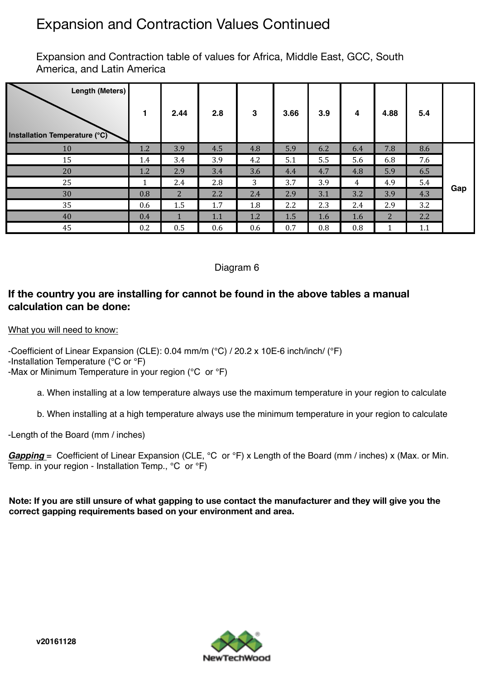## Expansion and Contraction Values Continued

Expansion and Contraction table of values for Africa, Middle East, GCC, South America, and Latin America

| Length (Meters)<br>Installation Temperature (°C) |     | 2.44        | 2.8 | 3   | 3.66 | 3.9 | 4   | 4.88           | 5.4 |     |
|--------------------------------------------------|-----|-------------|-----|-----|------|-----|-----|----------------|-----|-----|
| 10                                               | 1.2 | 3.9         | 4.5 | 4.8 | 5.9  | 6.2 | 6.4 | 7.8            | 8.6 |     |
| 15                                               | 1.4 | 3.4         | 3.9 | 4.2 | 5.1  | 5.5 | 5.6 | 6.8            | 7.6 |     |
| 20                                               | 1.2 | 2.9         | 3.4 | 3.6 | 4.4  | 4.7 | 4.8 | 5.9            | 6.5 |     |
| 25                                               | 1   | 2.4         | 2.8 | 3   | 3.7  | 3.9 | 4   | 4.9            | 5.4 | Gap |
| 30                                               | 0.8 | $2^{\circ}$ | 2.2 | 2.4 | 2.9  | 3.1 | 3.2 | 3.9            | 4.3 |     |
| 35                                               | 0.6 | 1.5         | 1.7 | 1.8 | 2.2  | 2.3 | 2.4 | 2.9            | 3.2 |     |
| 40                                               | 0.4 |             | 1.1 | 1.2 | 1.5  | 1.6 | 1.6 | $\overline{2}$ | 2.2 |     |
| 45                                               | 0.2 | 0.5         | 0.6 | 0.6 | 0.7  | 0.8 | 0.8 |                | 1.1 |     |

### Diagram 6

### **If the country you are installing for cannot be found in the above tables a manual calculation can be done:**

What you will need to know:

-Coefficient of Linear Expansion (CLE): 0.04 mm/m (°C) / 20.2 x 10E-6 inch/inch/ (℉) -Installation Temperature (°C or ℉) -Max or Minimum Temperature in your region (°C or ℉)

a. When installing at a low temperature always use the maximum temperature in your region to calculate

b. When installing at a high temperature always use the minimum temperature in your region to calculate

-Length of the Board (mm / inches)

*Gapping* = Coefficient of Linear Expansion (CLE, °C or °F) x Length of the Board (mm / inches) x (Max. or Min. Temp. in your region - Installation Temp., °C or ℉)

**Note: If you are still unsure of what gapping to use contact the manufacturer and they will give you the correct gapping requirements based on your environment and area.** 

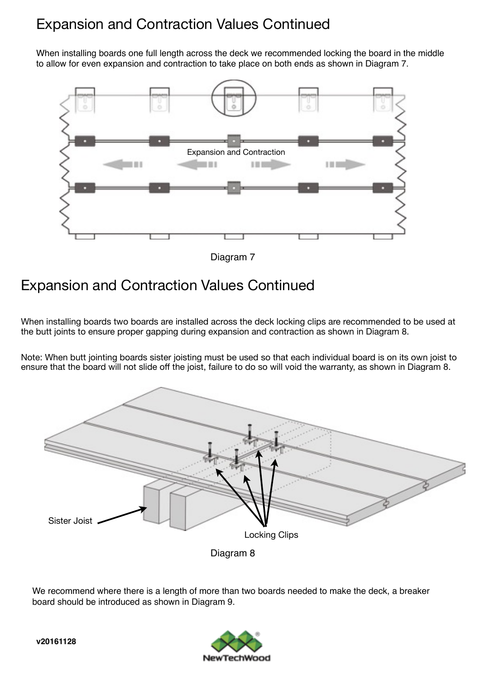## Expansion and Contraction Values Continued

When installing boards one full length across the deck we recommended locking the board in the middle to allow for even expansion and contraction to take place on both ends as shown in Diagram 7.



#### Diagram 7

## Expansion and Contraction Values Continued

When installing boards two boards are installed across the deck locking clips are recommended to be used at the butt joints to ensure proper gapping during expansion and contraction as shown in Diagram 8.

Note: When butt jointing boards sister joisting must be used so that each individual board is on its own joist to ensure that the board will not slide off the joist, failure to do so will void the warranty, as shown in Diagram 8.



We recommend where there is a length of more than two boards needed to make the deck, a breaker board should be introduced as shown in Diagram 9.

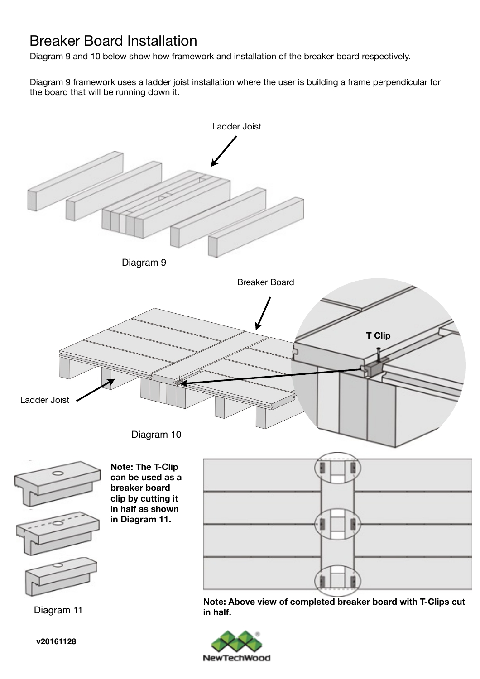## Breaker Board Installation

Diagram 9 and 10 below show how framework and installation of the breaker board respectively.

Diagram 9 framework uses a ladder joist installation where the user is building a frame perpendicular for the board that will be running down it.



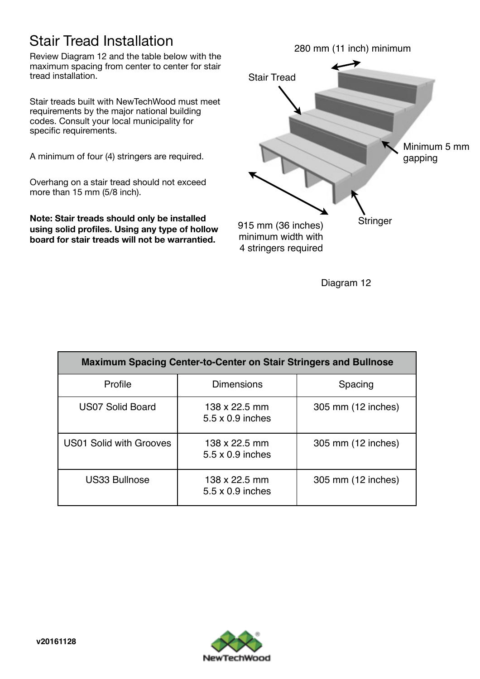## Stair Tread Installation

Review Diagram 12 and the table below with the maximum spacing from center to center for stair tread installation.

Stair treads built with NewTechWood must meet requirements by the major national building codes. Consult your local municipality for specific requirements.

A minimum of four (4) stringers are required.

Overhang on a stair tread should not exceed more than 15 mm (5/8 inch).

**Note: Stair treads should only be installed using solid profiles. Using any type of hollow board for stair treads will not be warrantied.**



| <b>Maximum Spacing Center-to-Center on Stair Stringers and Bullnose</b> |                                          |                    |  |  |  |  |  |  |  |
|-------------------------------------------------------------------------|------------------------------------------|--------------------|--|--|--|--|--|--|--|
| Profile                                                                 | <b>Dimensions</b>                        | Spacing            |  |  |  |  |  |  |  |
| US07 Solid Board                                                        | 138 x 22.5 mm<br>5.5 x 0.9 inches        | 305 mm (12 inches) |  |  |  |  |  |  |  |
| <b>US01 Solid with Grooves</b>                                          | 138 x 22.5 mm<br>5.5 x 0.9 inches        | 305 mm (12 inches) |  |  |  |  |  |  |  |
| <b>US33 Bullnose</b>                                                    | 138 x 22.5 mm<br>$5.5 \times 0.9$ inches | 305 mm (12 inches) |  |  |  |  |  |  |  |

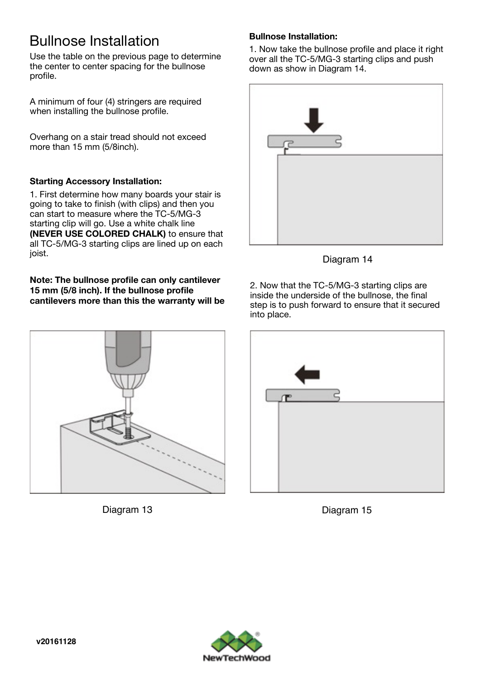## Bullnose Installation

Use the table on the previous page to determine the center to center spacing for the bullnose profile.

A minimum of four (4) stringers are required when installing the bullnose profile.

Overhang on a stair tread should not exceed more than 15 mm (5/8inch).

### **Starting Accessory Installation:**

1. First determine how many boards your stair is going to take to finish (with clips) and then you can start to measure where the TC-5/MG-3 starting clip will go. Use a white chalk line **(NEVER USE COLORED CHALK)** to ensure that all TC-5/MG-3 starting clips are lined up on each joist.

**Note: The bullnose profile can only cantilever 15 mm (5/8 inch). If the bullnose profile cantilevers more than this the warranty will be** 





### **Bullnose Installation:**

1. Now take the bullnose profile and place it right over all the TC-5/MG-3 starting clips and push down as show in Diagram 14.



Diagram 14

2. Now that the TC-5/MG-3 starting clips are inside the underside of the bullnose, the final step is to push forward to ensure that it secured into place.



Diagram 15

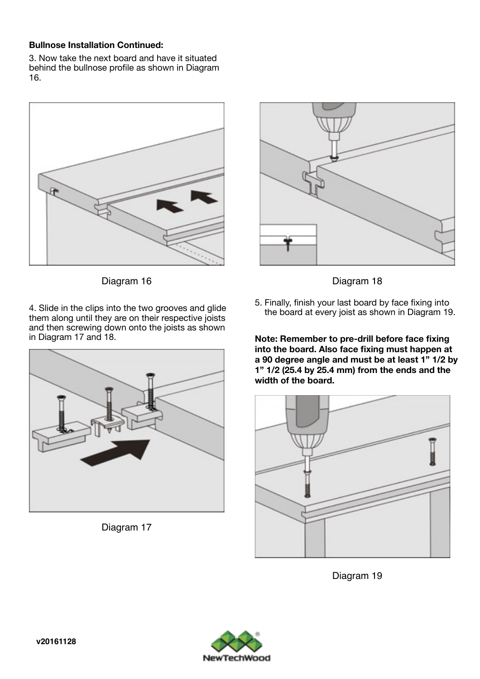#### **Bullnose Installation Continued:**

3. Now take the next board and have it situated behind the bullnose profile as shown in Diagram 16.



Diagram 16

4. Slide in the clips into the two grooves and glide them along until they are on their respective joists and then screwing down onto the joists as shown in Diagram 17 and 18.



Diagram 17



Diagram 18

5. Finally, finish your last board by face fixing into the board at every joist as shown in Diagram 19.

**Note: Remember to pre-drill before face fixing into the board. Also face fixing must happen at a 90 degree angle and must be at least 1" 1/2 by 1" 1/2 (25.4 by 25.4 mm) from the ends and the width of the board.** 



Diagram 19

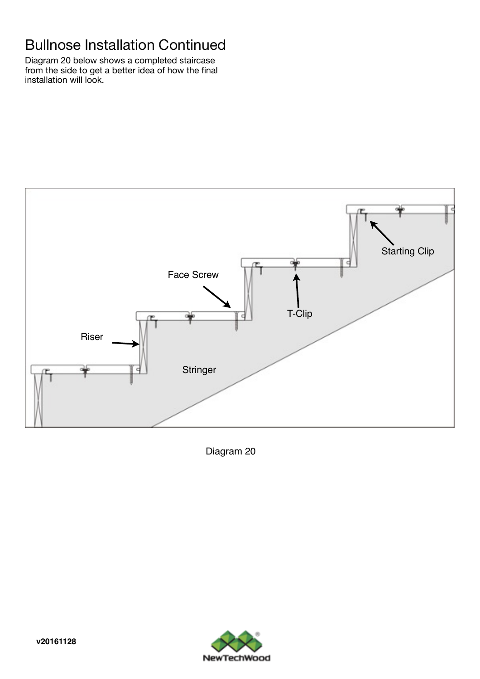## Bullnose Installation Continued

Diagram 20 below shows a completed staircase from the side to get a better idea of how the final installation will look.



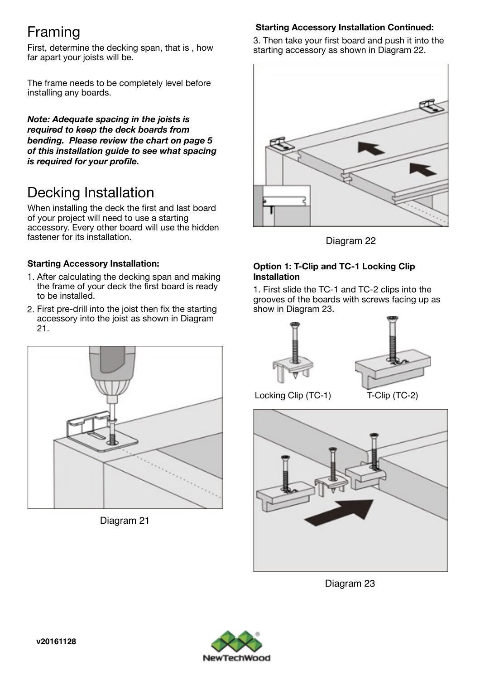## Framing

First, determine the decking span, that is , how far apart your joists will be.

The frame needs to be completely level before installing any boards.

*Note: Adequate spacing in the joists is required to keep the deck boards from bending. Please review the chart on page 5 of this installation guide to see what spacing is required for your profile.* 

## Decking Installation

When installing the deck the first and last board of your project will need to use a starting accessory. Every other board will use the hidden fastener for its installation.

### **Starting Accessory Installation:**

- 1. After calculating the decking span and making the frame of your deck the first board is ready to be installed.
- 2. First pre-drill into the joist then fix the starting accessory into the joist as shown in Diagram 21.



Diagram 21

### **Starting Accessory Installation Continued:**

3. Then take your first board and push it into the starting accessory as shown in Diagram 22.



Diagram 22

#### **Option 1: T-Clip and TC-1 Locking Clip Installation**

1. First slide the TC-1 and TC-2 clips into the grooves of the boards with screws facing up as show in Diagram 23.





Locking Clip (TC-1) T-Clip (TC-2)



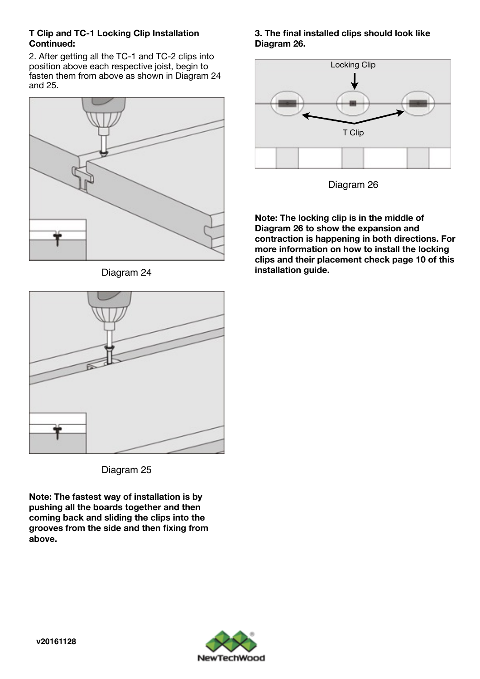#### **T Clip and TC-1 Locking Clip Installation Continued:**

2. After getting all the TC-1 and TC-2 clips into position above each respective joist, begin to fasten them from above as shown in Diagram 24 and 25.



Diagram 24





Diagram 26

**Note: The locking clip is in the middle of Diagram 26 to show the expansion and contraction is happening in both directions. For more information on how to install the locking clips and their placement check page 10 of this installation guide.** 



Diagram 25

**Note: The fastest way of installation is by pushing all the boards together and then coming back and sliding the clips into the grooves from the side and then fixing from above.** 

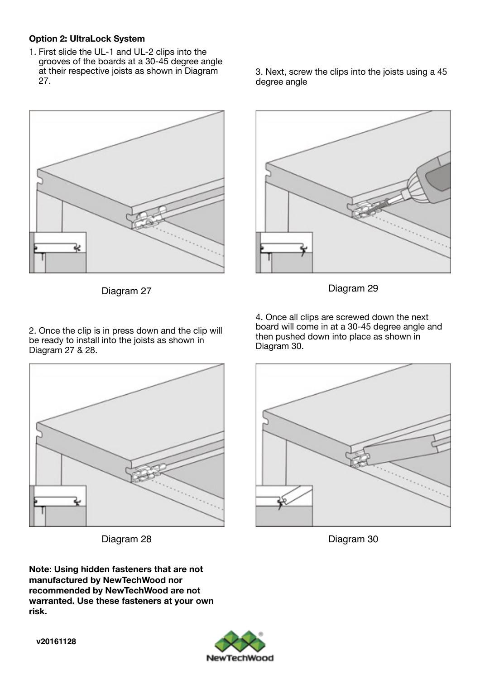#### **Option 2: UltraLock System**

1. First slide the UL-1 and UL-2 clips into the grooves of the boards at a 30-45 degree angle at their respective joists as shown in Diagram 27.



Diagram 27

3. Next, screw the clips into the joists using a 45 degree angle



Diagram 29

2. Once the clip is in press down and the clip will be ready to install into the joists as shown in Diagram 27 & 28.



Diagram 28

4. Once all clips are screwed down the next board will come in at a 30-45 degree angle and then pushed down into place as shown in Diagram 30.



Diagram 30

**Note: Using hidden fasteners that are not manufactured by NewTechWood nor recommended by NewTechWood are not warranted. Use these fasteners at your own risk.**

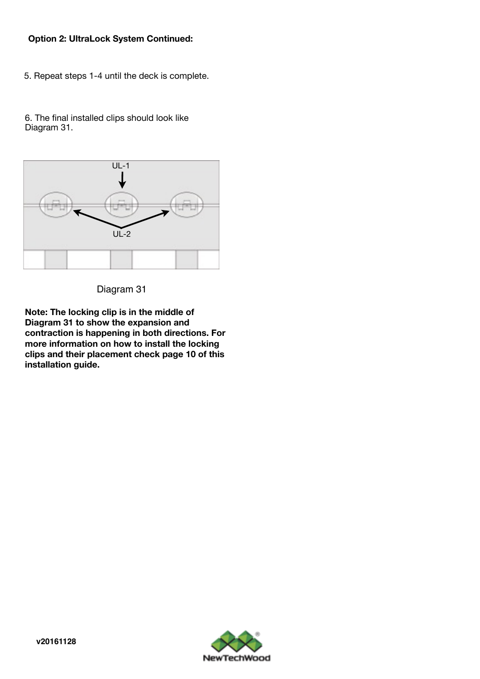#### **Option 2: UltraLock System Continued:**

5. Repeat steps 1-4 until the deck is complete.

6. The final installed clips should look like Diagram 31.



Diagram 31

**Note: The locking clip is in the middle of Diagram 31 to show the expansion and contraction is happening in both directions. For more information on how to install the locking clips and their placement check page 10 of this installation guide.** 

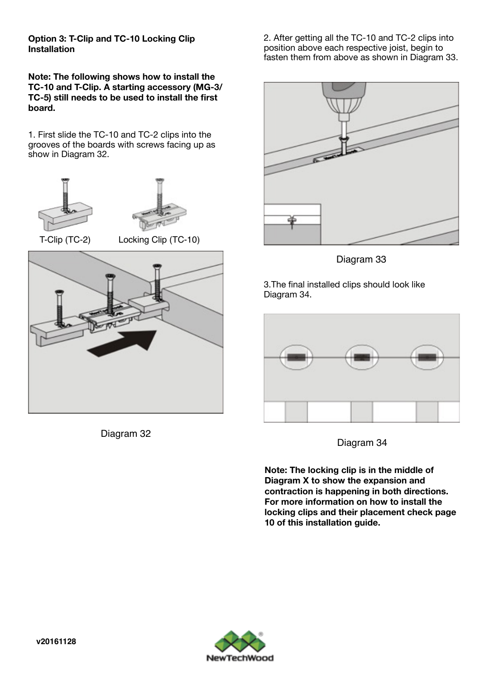**Option 3: T-Clip and TC-10 Locking Clip Installation** 

**Note: The following shows how to install the TC-10 and T-Clip. A starting accessory (MG-3/ TC-5) still needs to be used to install the first board.** 

1. First slide the TC-10 and TC-2 clips into the grooves of the boards with screws facing up as show in Diagram 32.



Diagram 32

2. After getting all the TC-10 and TC-2 clips into position above each respective joist, begin to fasten them from above as shown in Diagram 33.



Diagram 33

3.The final installed clips should look like Diagram 34.



Diagram 34

**Note: The locking clip is in the middle of Diagram X to show the expansion and contraction is happening in both directions. For more information on how to install the locking clips and their placement check page 10 of this installation guide.** 

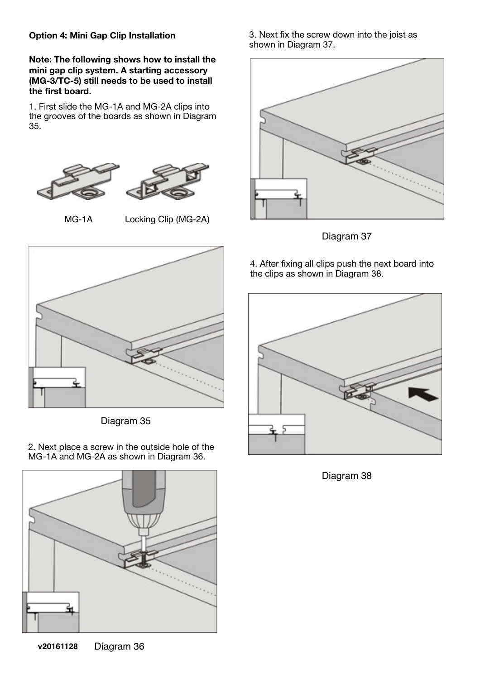#### **Option 4: Mini Gap Clip Installation**

**Note: The following shows how to install the mini gap clip system. A starting accessory (MG-3/TC-5) still needs to be used to install the first board.**

1. First slide the MG-1A and MG-2A clips into the grooves of the boards as shown in Diagram 35.





MG-1A Locking Clip (MG-2A)



Diagram 35

2. Next place a screw in the outside hole of the MG-1A and MG-2A as shown in Diagram 36.



3. Next fix the screw down into the joist as shown in Diagram 37.



Diagram 37

4. After fixing all clips push the next board into the clips as shown in Diagram 38.



Diagram 38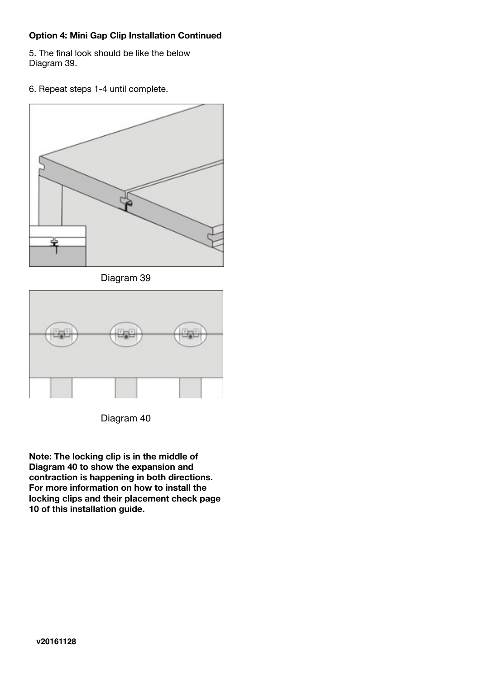#### **Option 4: Mini Gap Clip Installation Continued**

5. The final look should be like the below Diagram 39.

6. Repeat steps 1-4 until complete.



Diagram 39



Diagram 40

**Note: The locking clip is in the middle of Diagram 40 to show the expansion and contraction is happening in both directions. For more information on how to install the locking clips and their placement check page 10 of this installation guide.**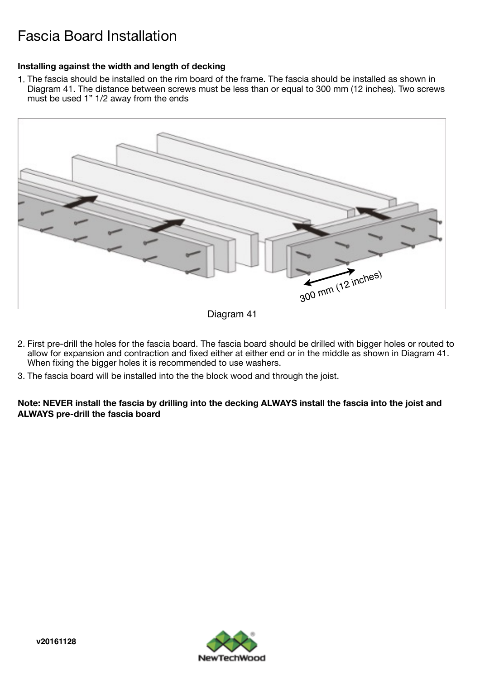## Fascia Board Installation

#### **Installing against the width and length of decking**

1. The fascia should be installed on the rim board of the frame. The fascia should be installed as shown in Diagram 41. The distance between screws must be less than or equal to 300 mm (12 inches). Two screws must be used 1" 1/2 away from the ends



Diagram 41

- 2. First pre-drill the holes for the fascia board. The fascia board should be drilled with bigger holes or routed to allow for expansion and contraction and fixed either at either end or in the middle as shown in Diagram 41. When fixing the bigger holes it is recommended to use washers.
- 3. The fascia board will be installed into the the block wood and through the joist.

**Note: NEVER install the fascia by drilling into the decking ALWAYS install the fascia into the joist and ALWAYS pre-drill the fascia board** 

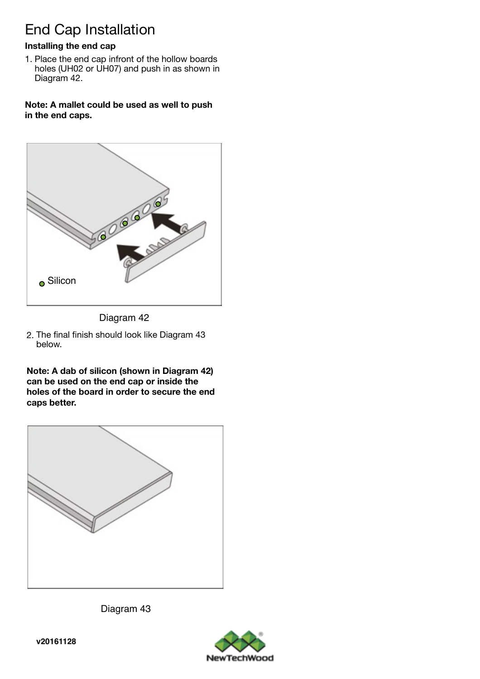## End Cap Installation

### **Installing the end cap**

1. Place the end cap infront of the hollow boards holes (UH02 or UH07) and push in as shown in Diagram 42.

**Note: A mallet could be used as well to push in the end caps.** 



Diagram 42

2. The final finish should look like Diagram 43 below.

**Note: A dab of silicon (shown in Diagram 42) can be used on the end cap or inside the holes of the board in order to secure the end caps better.**